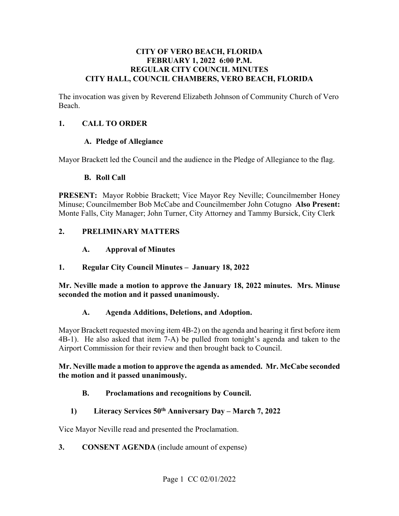### **CITY OF VERO BEACH, FLORIDA FEBRUARY 1, 2022 6:00 P.M. REGULAR CITY COUNCIL MINUTES CITY HALL, COUNCIL CHAMBERS, VERO BEACH, FLORIDA**

The invocation was given by Reverend Elizabeth Johnson of Community Church of Vero Beach.

### **1. CALL TO ORDER**

### **A. Pledge of Allegiance**

Mayor Brackett led the Council and the audience in the Pledge of Allegiance to the flag.

### **B. Roll Call**

 **PRESENT:** Mayor Robbie Brackett; Vice Mayor Rey Neville; Councilmember Honey Minuse; Councilmember Bob McCabe and Councilmember John Cotugno **Also Present:** Monte Falls, City Manager; John Turner, City Attorney and Tammy Bursick, City Clerk

### **2. PRELIMINARY MATTERS**

### $\mathbf{A}$ . **A. Approval of Minutes**

### **1. Regular City Council Minutes – January 18, 2022**

**Mr. Neville made a motion to approve the January 18, 2022 minutes. Mrs. Minuse seconded the motion and it passed unanimously.** 

### **A. Agenda Additions, Deletions, and Adoption.**

Mayor Brackett requested moving item 4B-2) on the agenda and hearing it first before item 4B-1). He also asked that item 7-A) be pulled from tonight's agenda and taken to the Airport Commission for their review and then brought back to Council.

### **Mr. Neville made a motion to approve the agenda as amended. Mr. McCabe seconded the motion and it passed unanimously.**

### **B. Proclamations and recognitions by Council.**

### **1) Literacy Services 50th Anniversary Day – March 7, 2022**

Vice Mayor Neville read and presented the Proclamation.

### **3. CONSENT AGENDA** (include amount of expense)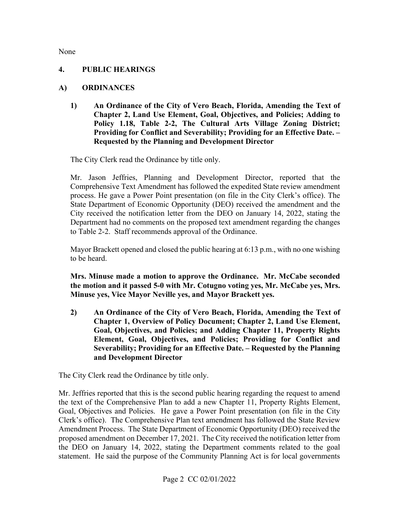None

### **4. PUBLIC HEARINGS**

### **A) ORDINANCES**

**1) An Ordinance of the City of Vero Beach, Florida, Amending the Text of Chapter 2, Land Use Element, Goal, Objectives, and Policies; Adding to Policy 1.18, Table 2-2, The Cultural Arts Village Zoning District; Providing for Conflict and Severability; Providing for an Effective Date. – Requested by the Planning and Development Director** 

The City Clerk read the Ordinance by title only.

 Mr. Jason Jeffries, Planning and Development Director, reported that the process. He gave a Power Point presentation (on file in the City Clerk's office). The City received the notification letter from the DEO on January 14, 2022, stating the to Table 2-2. Staff recommends approval of the Ordinance. Comprehensive Text Amendment has followed the expedited State review amendment State Department of Economic Opportunity (DEO) received the amendment and the Department had no comments on the proposed text amendment regarding the changes

Mayor Brackett opened and closed the public hearing at 6:13 p.m., with no one wishing to be heard.

**Mrs. Minuse made a motion to approve the Ordinance. Mr. McCabe seconded the motion and it passed 5-0 with Mr. Cotugno voting yes, Mr. McCabe yes, Mrs. Minuse yes, Vice Mayor Neville yes, and Mayor Brackett yes.** 

 **Goal, Objectives, and Policies; and Adding Chapter 11, Property Rights 2) An Ordinance of the City of Vero Beach, Florida, Amending the Text of Chapter 1, Overview of Policy Document; Chapter 2, Land Use Element, Element, Goal, Objectives, and Policies; Providing for Conflict and Severability; Providing for an Effective Date. – Requested by the Planning and Development Director** 

The City Clerk read the Ordinance by title only.

 Mr. Jeffries reported that this is the second public hearing regarding the request to amend Goal, Objectives and Policies. He gave a Power Point presentation (on file in the City Clerk's office). The Comprehensive Plan text amendment has followed the State Review proposed amendment on December 17, 2021. The City received the notification letter from the DEO on January 14, 2022, stating the Department comments related to the goal the text of the Comprehensive Plan to add a new Chapter 11, Property Rights Element, Amendment Process. The State Department of Economic Opportunity (DEO) received the statement. He said the purpose of the Community Planning Act is for local governments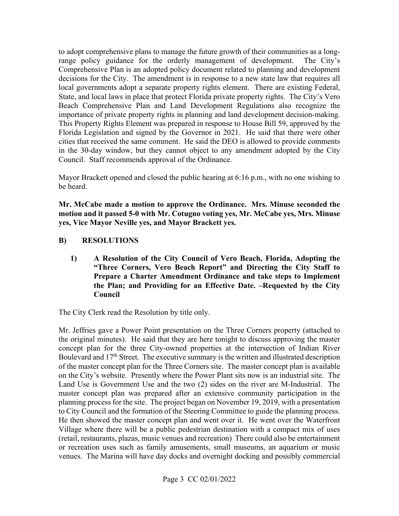The City's State, and local laws in place that protect Florida private property rights. The City's Vero to adopt comprehensive plans to manage the future growth of their communities as a longrange policy guidance for the orderly management of development. Comprehensive Plan is an adopted policy document related to planning and development decisions for the City. The amendment is in response to a new state law that requires all local governments adopt a separate property rights element. There are existing Federal, Beach Comprehensive Plan and Land Development Regulations also recognize the importance of private property rights in planning and land development decision-making. This Property Rights Element was prepared in response to House Bill 59, approved by the Florida Legislation and signed by the Governor in 2021. He said that there were other cities that received the same comment. He said the DEO is allowed to provide comments in the 30-day window, but they cannot object to any amendment adopted by the City Council. Staff recommends approval of the Ordinance.

Mayor Brackett opened and closed the public hearing at 6:16 p.m., with no one wishing to be heard.

**Mr. McCabe made a motion to approve the Ordinance. Mrs. Minuse seconded the motion and it passed 5-0 with Mr. Cotugno voting yes, Mr. McCabe yes, Mrs. Minuse yes, Vice Mayor Neville yes, and Mayor Brackett yes.** 

### **B) RESOLUTIONS**

**1) A Resolution of the City Council of Vero Beach, Florida, Adopting the "Three Corners, Vero Beach Report" and Directing the City Staff to Prepare a Charter Amendment Ordinance and take steps to Implement the Plan; and Providing for an Effective Date. –Requested by the City Council** 

The City Clerk read the Resolution by title only.

 Mr. Jeffries gave a Power Point presentation on the Three Corners property (attached to on the City's website. Presently where the Power Plant sits now is an industrial site. The Land Use is Government Use and the two (2) sides on the river are M-Industrial. The to City Council and the formation of the Steering Committee to guide the planning process. to City Council and the formation of the Steering Committee to guide the planning process. He then showed the master concept plan and went over it. He went over the Waterfront Village where there will be a public pedestrian destination with a compact mix of uses (retail, restaurants, plazas, music venues and recreation) There could also be entertainment or recreation uses such as family amusements, small museums, an aquarium or music the original minutes). He said that they are here tonight to discuss approving the master concept plan for the three City-owned properties at the intersection of Indian River Boulevard and  $17<sup>th</sup>$  Street. The executive summary is the written and illustrated description of the master concept plan for the Three Corners site. The master concept plan is available master concept plan was prepared after an extensive community participation in the planning process for the site. The project began on November 19, 2019, with a presentation venues. The Marina will have day docks and overnight docking and possibly commercial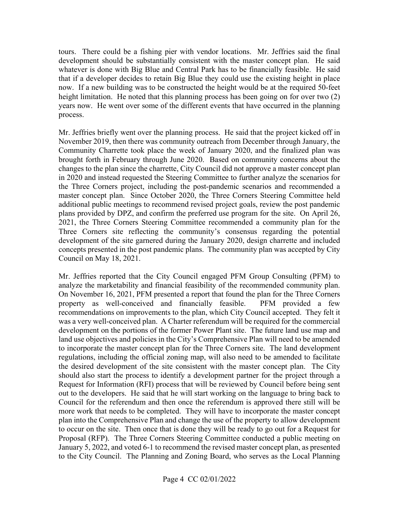whatever is done with Big Blue and Central Park has to be financially feasible. He said process. tours. There could be a fishing pier with vendor locations. Mr. Jeffries said the final development should be substantially consistent with the master concept plan. He said that if a developer decides to retain Big Blue they could use the existing height in place now. If a new building was to be constructed the height would be at the required 50-feet height limitation. He noted that this planning process has been going on for over two (2) years now. He went over some of the different events that have occurred in the planning

 additional public meetings to recommend revised project goals, review the post pandemic Mr. Jeffries briefly went over the planning process. He said that the project kicked off in November 2019, then there was community outreach from December through January, the Community Charrette took place the week of January 2020, and the finalized plan was brought forth in February through June 2020. Based on community concerns about the changes to the plan since the charrette, City Council did not approve a master concept plan in 2020 and instead requested the Steering Committee to further analyze the scenarios for the Three Corners project, including the post-pandemic scenarios and recommended a master concept plan. Since October 2020, the Three Corners Steering Committee held plans provided by DPZ, and confirm the preferred use program for the site. On April 26, 2021, the Three Corners Steering Committee recommended a community plan for the Three Corners site reflecting the community's consensus regarding the potential development of the site garnered during the January 2020, design charrette and included concepts presented in the post pandemic plans. The community plan was accepted by City Council on May 18, 2021.

 analyze the marketability and financial feasibility of the recommended community plan. On November 16, 2021, PFM presented a report that found the plan for the Three Corners recommendations on improvements to the plan, which City Council accepted. They felt it was a very well-conceived plan. A Charter referendum will be required for the commercial should also start the process to identify a development partner for the project through a plan into the Comprehensive Plan and change the use of the property to allow development Mr. Jeffries reported that the City Council engaged PFM Group Consulting (PFM) to property as well-conceived and financially feasible. PFM provided a few development on the portions of the former Power Plant site. The future land use map and land use objectives and policies in the City's Comprehensive Plan will need to be amended to incorporate the master concept plan for the Three Corners site. The land development regulations, including the official zoning map, will also need to be amended to facilitate the desired development of the site consistent with the master concept plan. The City Request for Information (RFI) process that will be reviewed by Council before being sent out to the developers. He said that he will start working on the language to bring back to Council for the referendum and then once the referendum is approved there still will be more work that needs to be completed. They will have to incorporate the master concept to occur on the site. Then once that is done they will be ready to go out for a Request for Proposal (RFP). The Three Corners Steering Committee conducted a public meeting on January 5, 2022, and voted 6-1 to recommend the revised master concept plan, as presented to the City Council. The Planning and Zoning Board, who serves as the Local Planning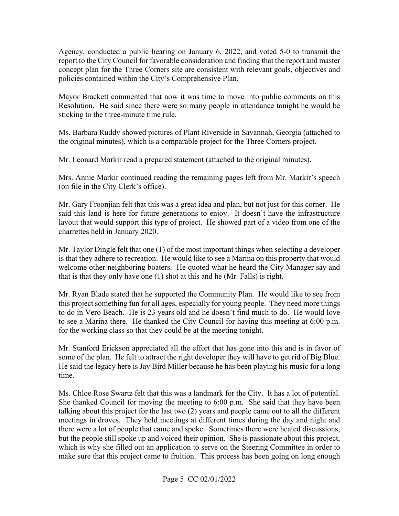Agency, conducted a public hearing on January 6, 2022, and voted 5-0 to transmit the report to the City Council for favorable consideration and finding that the report and master concept plan for the Three Corners site are consistent with relevant goals, objectives and policies contained within the City's Comprehensive Plan.

sticking to the three-minute time rule. Mayor Brackett commented that now it was time to move into public comments on this Resolution. He said since there were so many people in attendance tonight he would be

 the original minutes), which is a comparable project for the Three Corners project. Ms. Barbara Ruddy showed pictures of Plant Riverside in Savannah, Georgia (attached to

Mr. Leonard Markir read a prepared statement (attached to the original minutes).

Mrs. Annie Markir continued reading the remaining pages left from Mr. Markir's speech (on file in the City Clerk's office).

 Mr. Gary Froonjian felt that this was a great idea and plan, but not just for this corner. He layout that would support this type of project. He showed part of a video from one of the said this land is here for future generations to enjoy. It doesn't have the infrastructure charrettes held in January 2020.

 is that they adhere to recreation. He would like to see a Marina on this property that would welcome other neighboring boaters. He quoted what he heard the City Manager say and that is that they only have one (1) shot at this and he (Mr. Falls) is right. Mr. Taylor Dingle felt that one (1) of the most important things when selecting a developer

 Mr. Ryan Blade stated that he supported the Community Plan. He would like to see from for the working class so that they could be at the meeting tonight. this project something fun for all ages, especially for young people. They need more things to do in Vero Beach. He is 23 years old and he doesn't find much to do. He would love to see a Marina there. He thanked the City Council for having this meeting at 6:00 p.m.

some of the plan. He felt to attract the right developer they will have to get rid of Big Blue. time. Mr. Stanford Erickson appreciated all the effort that has gone into this and is in favor of He said the legacy here is Jay Bird Miller because he has been playing his music for a long

time.<br>Ms. Chloe Rose Swartz felt that this was a landmark for the City. It has a lot of potential. She thanked Council for moving the meeting to 6:00 p.m. She said that they have been talking about this project for the last two (2) years and people came out to all the different but the people still spoke up and voiced their opinion. She is passionate about this project, meetings in droves. They held meetings at different times during the day and night and there were a lot of people that came and spoke. Sometimes there were heated discussions, which is why she filled out an application to serve on the Steering Committee in order to make sure that this project came to fruition. This process has been going on long enough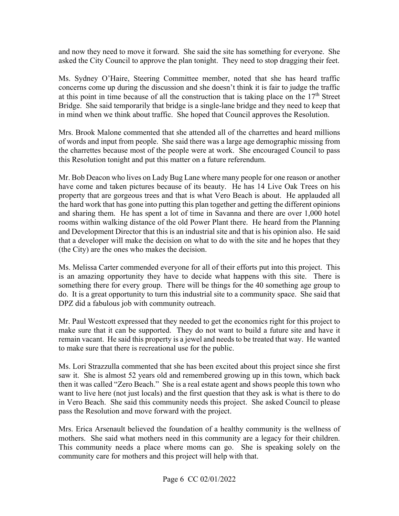asked the City Council to approve the plan tonight. They need to stop dragging their feet. and now they need to move it forward. She said the site has something for everyone. She

 concerns come up during the discussion and she doesn't think it is fair to judge the traffic Bridge. She said temporarily that bridge is a single-lane bridge and they need to keep that in mind when we think about traffic. She hoped that Council approves the Resolution. Ms. Sydney O'Haire, Steering Committee member, noted that she has heard traffic at this point in time because of all the construction that is taking place on the  $17<sup>th</sup>$  Street

 the charrettes because most of the people were at work. She encouraged Council to pass this Resolution tonight and put this matter on a future referendum. Mrs. Brook Malone commented that she attended all of the charrettes and heard millions of words and input from people. She said there was a large age demographic missing from

 property that are gorgeous trees and that is what Vero Beach is about. He applauded all rooms within walking distance of the old Power Plant there. He heard from the Planning and Development Director that this is an industrial site and that is his opinion also. He said that a developer will make the decision on what to do with the site and he hopes that they (the City) are the ones who makes the decision. Mr. Bob Deacon who lives on Lady Bug Lane where many people for one reason or another have come and taken pictures because of its beauty. He has 14 Live Oak Trees on his the hard work that has gone into putting this plan together and getting the different opinions and sharing them. He has spent a lot of time in Savanna and there are over 1,000 hotel

 Ms. Melissa Carter commended everyone for all of their efforts put into this project. This something there for every group. There will be things for the 40 something age group to is an amazing opportunity they have to decide what happens with this site. There is do. It is a great opportunity to turn this industrial site to a community space. She said that DPZ did a fabulous job with community outreach.

 make sure that it can be supported. They do not want to build a future site and have it remain vacant. He said this property is a jewel and needs to be treated that way. He wanted to make sure that there is recreational use for the public. Mr. Paul Westcott expressed that they needed to get the economics right for this project to

 saw it. She is almost 52 years old and remembered growing up in this town, which back then it was called "Zero Beach." She is a real estate agent and shows people this town who in Vero Beach. She said this community needs this project. She asked Council to please Ms. Lori Strazzulla commented that she has been excited about this project since she first want to live here (not just locals) and the first question that they ask is what is there to do pass the Resolution and move forward with the project.

 This community needs a place where moms can go. She is speaking solely on the community care for mothers and this project will help with that. Mrs. Erica Arsenault believed the foundation of a healthy community is the wellness of mothers. She said what mothers need in this community are a legacy for their children.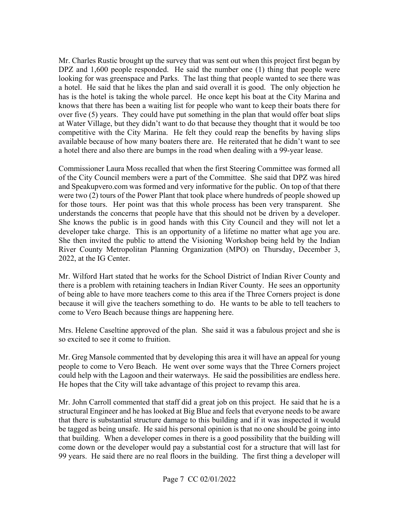DPZ and 1,600 people responded. He said the number one (1) thing that people were looking for was greenspace and Parks. The last thing that people wanted to see there was a hotel. He said that he likes the plan and said overall it is good. The only objection he has is the hotel is taking the whole parcel. He once kept his boat at the City Marina and knows that there has been a waiting list for people who want to keep their boats there for over five (5) years. They could have put something in the plan that would offer boat slips at Water Village, but they didn't want to do that because they thought that it would be too competitive with the City Marina. He felt they could reap the benefits by having slips a hotel there and also there are bumps in the road when dealing with a 99-year lease. Mr. Charles Rustic brought up the survey that was sent out when this project first began by available because of how many boaters there are. He reiterated that he didn't want to see

 and [Speakupvero.com](https://Speakupvero.com) was formed and very informative for the public. On top of that there were two (2) tours of the Power Plant that took place where hundreds of people showed up understands the concerns that people have that this should not be driven by a developer. developer take charge. This is an opportunity of a lifetime no matter what age you are. 2022, at the IG Center. Commissioner Laura Moss recalled that when the first Steering Committee was formed all of the City Council members were a part of the Committee. She said that DPZ was hired for those tours. Her point was that this whole process has been very transparent. She She knows the public is in good hands with this City Council and they will not let a She then invited the public to attend the Visioning Workshop being held by the Indian River County Metropolitan Planning Organization (MPO) on Thursday, December 3,

 because it will give the teachers something to do. He wants to be able to tell teachers to come to Vero Beach because things are happening here. Mr. Wilford Hart stated that he works for the School District of Indian River County and there is a problem with retaining teachers in Indian River County. He sees an opportunity of being able to have more teachers come to this area if the Three Corners project is done

come to Vero Beach because things are happening here.<br>Mrs. Helene Caseltine approved of the plan. She said it was a fabulous project and she is so excited to see it come to fruition.

 Mr. Greg Mansole commented that by developing this area it will have an appeal for young could help with the Lagoon and their waterways. He said the possibilities are endless here. He hopes that the City will take advantage of this project to revamp this area. people to come to Vero Beach. He went over some ways that the Three Corners project

 that there is substantial structure damage to this building and if it was inspected it would be tagged as being unsafe. He said his personal opinion is that no one should be going into that building. When a developer comes in there is a good possibility that the building will Mr. John Carroll commented that staff did a great job on this project. He said that he is a structural Engineer and he has looked at Big Blue and feels that everyone needs to be aware come down or the developer would pay a substantial cost for a structure that will last for 99 years. He said there are no real floors in the building. The first thing a developer will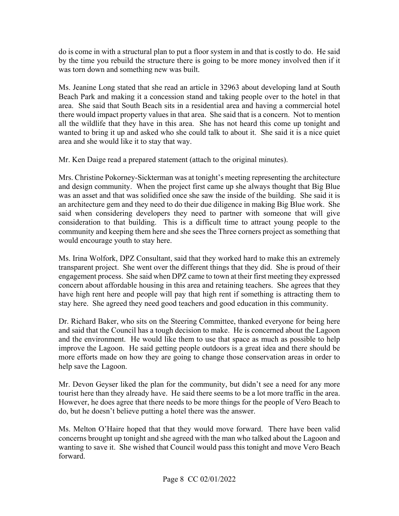was torn down and something new was built. do is come in with a structural plan to put a floor system in and that is costly to do. He said by the time you rebuild the structure there is going to be more money involved then if it

 Ms. Jeanine Long stated that she read an article in 32963 about developing land at South Beach Park and making it a concession stand and taking people over to the hotel in that area. She said that South Beach sits in a residential area and having a commercial hotel there would impact property values in that area. She said that is a concern. Not to mention area and she would like it to stay that way. all the wildlife that they have in this area. She has not heard this come up tonight and wanted to bring it up and asked who she could talk to about it. She said it is a nice quiet

Mr. Ken Daige read a prepared statement (attach to the original minutes).

 Mrs. Christine Pokorney-Sickterman was at tonight's meeting representing the architecture and design community. When the project first came up she always thought that Big Blue an architecture gem and they need to do their due diligence in making Big Blue work. She community and keeping them here and she sees the Three corners project as something that would encourage youth to stay here. was an asset and that was solidified once she saw the inside of the building. She said it is said when considering developers they need to partner with someone that will give consideration to that building. This is a difficult time to attract young people to the

 engagement process. She said when DPZ came to town at their first meeting they expressed concern about affordable housing in this area and retaining teachers. She agrees that they Ms. Irina Wolfork, DPZ Consultant, said that they worked hard to make this an extremely transparent project. She went over the different things that they did. She is proud of their have high rent here and people will pay that high rent if something is attracting them to stay here. She agreed they need good teachers and good education in this community.

 and said that the Council has a tough decision to make. He is concerned about the Lagoon and the environment. He would like them to use that space as much as possible to help help save the Lagoon. Dr. Richard Baker, who sits on the Steering Committee, thanked everyone for being here improve the Lagoon. He said getting people outdoors is a great idea and there should be more efforts made on how they are going to change those conservation areas in order to

 Mr. Devon Geyser liked the plan for the community, but didn't see a need for any more tourist here than they already have. He said there seems to be a lot more traffic in the area. However, he does agree that there needs to be more things for the people of Vero Beach to do, but he doesn't believe putting a hotel there was the answer.

 concerns brought up tonight and she agreed with the man who talked about the Lagoon and Ms. Melton O'Haire hoped that that they would move forward. There have been valid wanting to save it. She wished that Council would pass this tonight and move Vero Beach forward.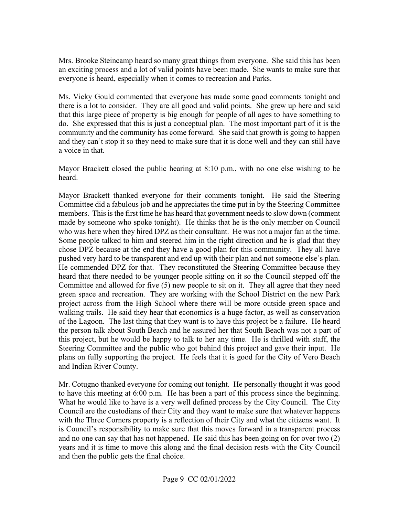an exciting process and a lot of valid points have been made. She wants to make sure that Mrs. Brooke Steincamp heard so many great things from everyone. She said this has been everyone is heard, especially when it comes to recreation and Parks.

 Ms. Vicky Gould commented that everyone has made some good comments tonight and there is a lot to consider. They are all good and valid points. She grew up here and said and they can't stop it so they need to make sure that it is done well and they can still have that this large piece of property is big enough for people of all ages to have something to do. She expressed that this is just a conceptual plan. The most important part of it is the community and the community has come forward. She said that growth is going to happen a voice in that.

Mayor Brackett closed the public hearing at 8:10 p.m., with no one else wishing to be heard.

 Committee did a fabulous job and he appreciates the time put in by the Steering Committee members. This is the first time he has heard that government needs to slow down (comment made by someone who spoke tonight). He thinks that he is the only member on Council who was here when they hired DPZ as their consultant. He was not a major fan at the time. Some people talked to him and steered him in the right direction and he is glad that they Committee and allowed for five (5) new people to sit on it. They all agree that they need green space and recreation. They are working with the School District on the new Park of the Lagoon. The last thing that they want is to have this project be a failure. He heard Steering Committee and the public who got behind this project and gave their input. He Mayor Brackett thanked everyone for their comments tonight. He said the Steering chose DPZ because at the end they have a good plan for this community. They all have pushed very hard to be transparent and end up with their plan and not someone else's plan. He commended DPZ for that. They reconstituted the Steering Committee because they heard that there needed to be younger people sitting on it so the Council stepped off the project across from the High School where there will be more outside green space and walking trails. He said they hear that economics is a huge factor, as well as conservation the person talk about South Beach and he assured her that South Beach was not a part of this project, but he would be happy to talk to her any time. He is thrilled with staff, the plans on fully supporting the project. He feels that it is good for the City of Vero Beach and Indian River County.

 Mr. Cotugno thanked everyone for coming out tonight. He personally thought it was good to have this meeting at 6:00 p.m. He has been a part of this process since the beginning. and no one can say that has not happened. He said this has been going on for over two (2) years and it is time to move this along and the final decision rests with the City Council What he would like to have is a very well defined process by the City Council. The City Council are the custodians of their City and they want to make sure that whatever happens with the Three Corners property is a reflection of their City and what the citizens want. It is Council's responsibility to make sure that this moves forward in a transparent process and then the public gets the final choice.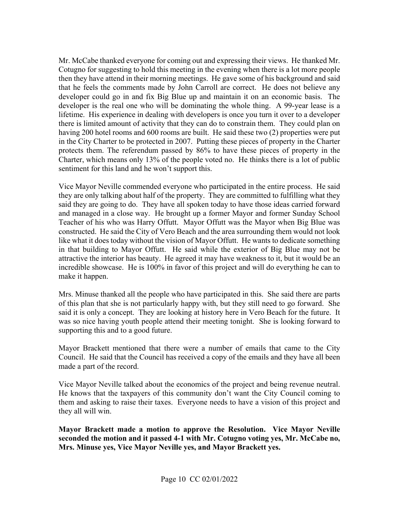Cotugno for suggesting to hold this meeting in the evening when there is a lot more people then they have attend in their morning meetings. He gave some of his background and said developer could go in and fix Big Blue up and maintain it on an economic basis. The developer is the real one who will be dominating the whole thing. A 99-year lease is a lifetime. His experience in dealing with developers is once you turn it over to a developer there is limited amount of activity that they can do to constrain them. They could plan on having 200 hotel rooms and 600 rooms are built. He said these two (2) properties were put in the City Charter to be protected in 2007. Putting these pieces of property in the Charter Charter, which means only 13% of the people voted no. He thinks there is a lot of public sentiment for this land and he won't support this. Mr. McCabe thanked everyone for coming out and expressing their views. He thanked Mr. that he feels the comments made by John Carroll are correct. He does not believe any protects them. The referendum passed by 86% to have these pieces of property in the

 Vice Mayor Neville commended everyone who participated in the entire process. He said they are only talking about half of the property. They are committed to fulfilling what they Teacher of his who was Harry Offutt. Mayor Offutt was the Mayor when Big Blue was like what it does today without the vision of Mayor Offutt. He wants to dedicate something in that building to Mayor Offutt. He said while the exterior of Big Blue may not be attractive the interior has beauty. He agreed it may have weakness to it, but it would be an incredible showcase. He is 100% in favor of this project and will do everything he can to said they are going to do. They have all spoken today to have those ideas carried forward and managed in a close way. He brought up a former Mayor and former Sunday School constructed. He said the City of Vero Beach and the area surrounding them would not look make it happen.

 Mrs. Minuse thanked all the people who have participated in this. She said there are parts of this plan that she is not particularly happy with, but they still need to go forward. She said it is only a concept. They are looking at history here in Vero Beach for the future. It was so nice having youth people attend their meeting tonight. She is looking forward to supporting this and to a good future.

Mayor Brackett mentioned that there were a number of emails that came to the City Council. He said that the Council has received a copy of the emails and they have all been made a part of the record.

Vice Mayor Neville talked about the economics of the project and being revenue neutral. them and asking to raise their taxes. Everyone needs to have a vision of this project and He knows that the taxpayers of this community don't want the City Council coming to they all will win.

 **Mrs. Minuse yes, Vice Mayor Neville yes, and Mayor Brackett yes. Mayor Brackett made a motion to approve the Resolution. Vice Mayor Neville seconded the motion and it passed 4-1 with Mr. Cotugno voting yes, Mr. McCabe no,**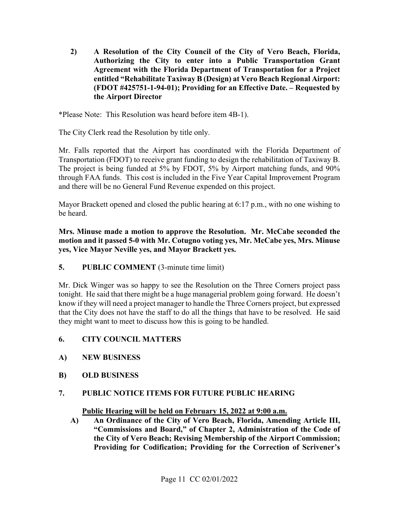**2) A Resolution of the City Council of the City of Vero Beach, Florida, Authorizing the City to enter into a Public Transportation Grant Agreement with the Florida Department of Transportation for a Project entitled "Rehabilitate Taxiway B (Design) at Vero Beach Regional Airport: (FDOT #425751-1-94-01); Providing for an Effective Date. – Requested by the Airport Director** 

\*Please Note: This Resolution was heard before item 4B-1).

The City Clerk read the Resolution by title only.

Transportation (FDOT) to receive grant funding to design the rehabilitation of Taxiway B. Mr. Falls reported that the Airport has coordinated with the Florida Department of The project is being funded at 5% by FDOT, 5% by Airport matching funds, and 90% through FAA funds. This cost is included in the Five Year Capital Improvement Program and there will be no General Fund Revenue expended on this project.

Mayor Brackett opened and closed the public hearing at 6:17 p.m., with no one wishing to be heard.

**Mrs. Minuse made a motion to approve the Resolution. Mr. McCabe seconded the motion and it passed 5-0 with Mr. Cotugno voting yes, Mr. McCabe yes, Mrs. Minuse yes, Vice Mayor Neville yes, and Mayor Brackett yes.** 

**5.** PUBLIC COMMENT (3-minute time limit)

 tonight. He said that there might be a huge managerial problem going forward. He doesn't that the City does not have the staff to do all the things that have to be resolved. He said Mr. Dick Winger was so happy to see the Resolution on the Three Corners project pass know if they will need a project manager to handle the Three Corners project, but expressed they might want to meet to discuss how this is going to be handled.

- **6. CITY COUNCIL MATTERS**
- **A) NEW BUSINESS**
- **B) OLD BUSINESS**

# **7. PUBLIC NOTICE ITEMS FOR FUTURE PUBLIC HEARING Public Hearing will be held on February 15, 2022 at 9:00 a.m.**

**A) An Ordinance of the City of Vero Beach, Florida, Amending Article III, "Commissions and Board," of Chapter 2, Administration of the Code of the City of Vero Beach; Revising Membership of the Airport Commission; Providing for Codification; Providing for the Correction of Scrivener's**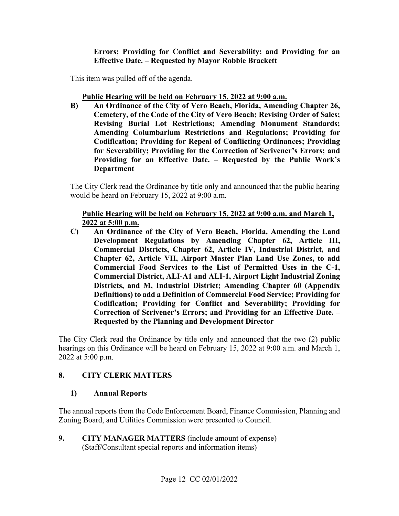**Errors; Providing for Conflict and Severability; and Providing for an Effective Date. – Requested by Mayor Robbie Brackett** 

This item was pulled off of the agenda.

### **Public Hearing will be held on February 15, 2022 at 9:00 a.m.**

**B) An Ordinance of the City of Vero Beach, Florida, Amending Chapter 26, Cemetery, of the Code of the City of Vero Beach; Revising Order of Sales; Revising Burial Lot Restrictions; Amending Monument Standards; Amending Columbarium Restrictions and Regulations; Providing for Codification; Providing for Repeal of Conflicting Ordinances; Providing for Severability; Providing for the Correction of Scrivener's Errors; and Providing for an Effective Date. – Requested by the Public Work's Department** 

The City Clerk read the Ordinance by title only and announced that the public hearing would be heard on February 15, 2022 at 9:00 a.m.

### **Public Hearing will be held on February 15, 2022 at 9:00 a.m. and March 1, 2022 at 5:00 p.m.**

 **C) An Ordinance of the City of Vero Beach, Florida, Amending the Land Development Regulations by Amending Chapter 62, Article III, Commercial Districts, Chapter 62, Article IV, Industrial District, and Chapter 62, Article VII, Airport Master Plan Land Use Zones, to add Commercial Food Services to the List of Permitted Uses in the C-1, Commercial District, ALI-A1 and ALI-1, Airport Light Industrial Zoning Districts, and M, Industrial District; Amending Chapter 60 (Appendix Definitions) to add a Definition of Commercial Food Service; Providing for Codification; Providing for Conflict and Severability; Providing for Correction of Scrivener's Errors; and Providing for an Effective Date. – Requested by the Planning and Development Director** 

 The City Clerk read the Ordinance by title only and announced that the two (2) public hearings on this Ordinance will be heard on February 15, 2022 at 9:00 a.m. and March 1, 2022 at 5:00 p.m.

### **8. CITY CLERK MATTERS**

### **1) Annual Reports**

The annual reports from the Code Enforcement Board, Finance Commission, Planning and Zoning Board, and Utilities Commission were presented to Council.

 $9.$  (Staff/Consultant special reports and information items) Page 12 CC 02/01/2022 **9. CITY MANAGER MATTERS** (include amount of expense)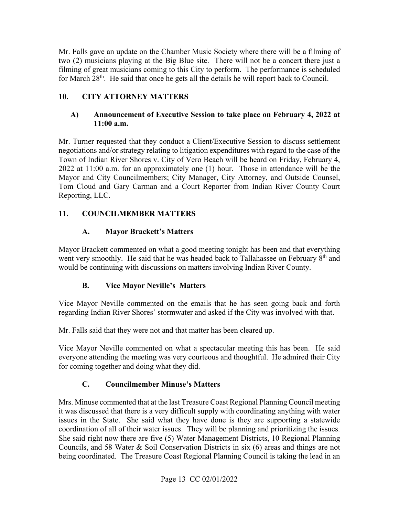for March 28<sup>th</sup>. He said that once he gets all the details he will report back to Council. Mr. Falls gave an update on the Chamber Music Society where there will be a filming of two (2) musicians playing at the Big Blue site. There will not be a concert there just a filming of great musicians coming to this City to perform. The performance is scheduled

### **10. CITY ATTORNEY MATTERS**

### **A) Announcement of Executive Session to take place on February 4, 2022 at 11:00 a.m.**

 negotiations and/or strategy relating to litigation expenditures with regard to the case of the 2022 at 11:00 a.m. for an approximately one (1) hour. Those in attendance will be the Tom Cloud and Gary Carman and a Court Reporter from Indian River County Court Mr. Turner requested that they conduct a Client/Executive Session to discuss settlement Town of Indian River Shores v. City of Vero Beach will be heard on Friday, February 4, Mayor and City Councilmembers; City Manager, City Attorney, and Outside Counsel, Reporting, LLC.

### **11. COUNCILMEMBER MATTERS**

### **A. Mayor Brackett's Matters**

Mayor Brackett commented on what a good meeting tonight has been and that everything went very smoothly. He said that he was headed back to Tallahassee on February 8<sup>th</sup> and would be continuing with discussions on matters involving Indian River County.

### **B. Vice Mayor Neville's Matters**

Vice Mayor Neville commented on the emails that he has seen going back and forth regarding Indian River Shores' stormwater and asked if the City was involved with that.

Mr. Falls said that they were not and that matter has been cleared up.

Vice Mayor Neville commented on what a spectacular meeting this has been. He said everyone attending the meeting was very courteous and thoughtful. He admired their City for coming together and doing what they did.

## **C. Councilmember Minuse's Matters**

 Councils, and 58 Water & Soil Conservation Districts in six (6) areas and things are not Mrs. Minuse commented that at the last Treasure Coast Regional Planning Council meeting it was discussed that there is a very difficult supply with coordinating anything with water issues in the State. She said what they have done is they are supporting a statewide coordination of all of their water issues. They will be planning and prioritizing the issues. She said right now there are five (5) Water Management Districts, 10 Regional Planning being coordinated. The Treasure Coast Regional Planning Council is taking the lead in an